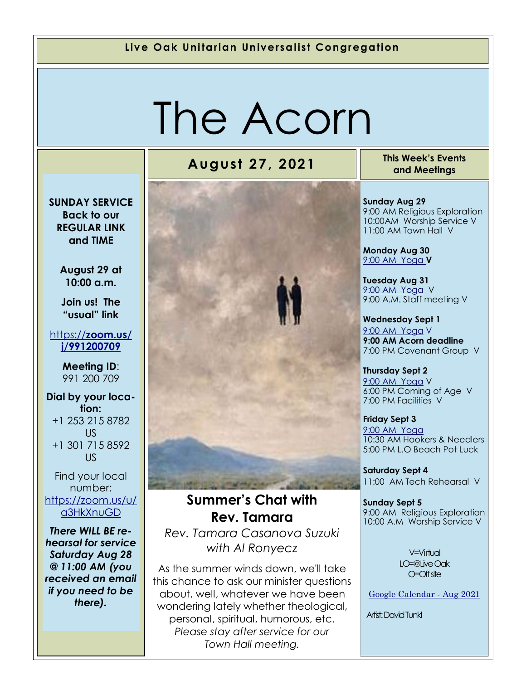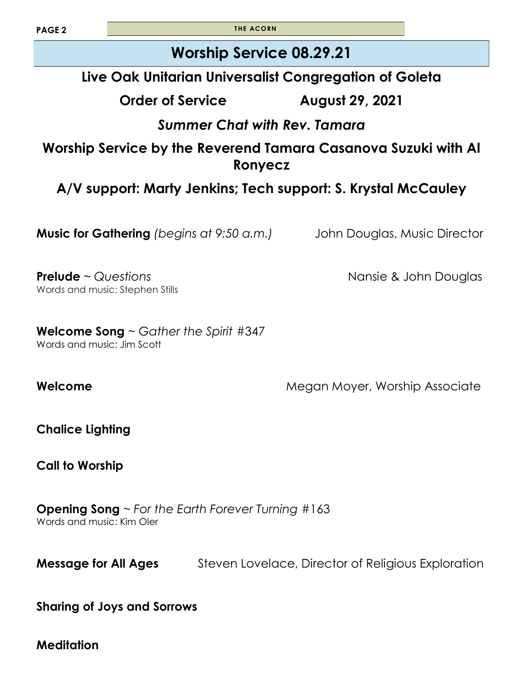**PAGE 2 THE ACORN** 

## **Worship Service 08.29.21**

### **Live Oak Unitarian Universalist Congregation of Goleta**

**Order of Service August 29, 2021**

### *Summer Chat with Rev. Tamara*

#### **Worship Service by the Reverend Tamara Casanova Suzuki with Al Ronyecz**

### **A/V support: Marty Jenkins; Tech support: S. Krystal McCauley**

**Music for Gathering** *(begins at 9:50 a.m.)* John Douglas, Music Director

**Prelude** ~ *Questions* Nansie & John Douglas Words and music: Stephen Stills

**Welcome Song** ~ *Gather the Spirit* #347 Words and music: Jim Scott

**Welcome Megan Moyer, Worship Associate Megan Moyer, Worship Associate** 

**Chalice Lighting** 

**Call to Worship** 

**Opening Song** ~ *For the Earth Forever Turning* #163 Words and music: Kim Oler

**Message for All Ages** Steven Lovelace, Director of Religious Exploration

**Sharing of Joys and Sorrows**

**Meditation**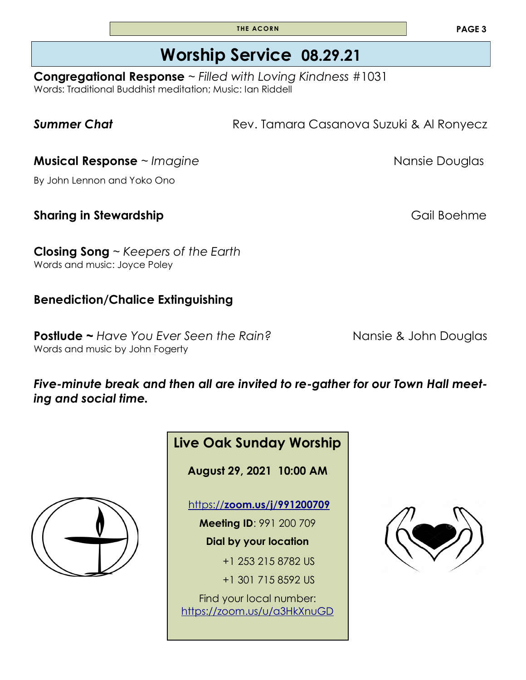**T HE ACORN**

# **Worship Service 08.29.21**

**Congregational Response** ~ *Filled with Loving Kindness* #1031 Words: Traditional Buddhist meditation; Music: Ian Riddell

**Summer Chat Rev. Tamara Casanova Suzuki & Al Ronyecz** 

**Musical Response** ~ *Imagine* Nansie Douglas

By John Lennon and Yoko Ono

**Sharing in Stewardship** *Sharing* in Stewardship **Gail Boehme** 

**Closing Song** ~ *Keepers of the Earth* Words and music: Joyce Poley

#### **Benediction/Chalice Extinguishing**

**Postlude ~** *Have You Ever Seen the Rain?* Nansie & John Douglas Words and music by John Fogerty

#### *Five-minute break and then all are invited to re-gather for our Town Hall meeting and social time.*





+1 253 215 8782 US

+1 301 715 8592 US

Find your local number: <https://zoom.us/u/a3HkXnuGD>

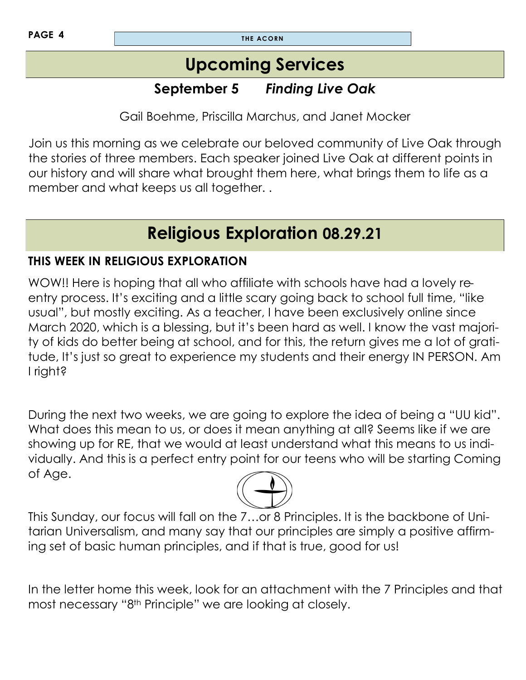## **Upcoming Services**

### **September 5** *Finding Live Oak*

Gail Boehme, Priscilla Marchus, and Janet Mocker

Join us this morning as we celebrate our beloved community of Live Oak through the stories of three members. Each speaker joined Live Oak at different points in our history and will share what brought them here, what brings them to life as a member and what keeps us all together. .

# **Religious Exploration 08.29.21**

#### **THIS WEEK IN RELIGIOUS EXPLORATION**

WOW!! Here is hoping that all who affiliate with schools have had a lovely reentry process. It's exciting and a little scary going back to school full time, "like usual", but mostly exciting. As a teacher, I have been exclusively online since March 2020, which is a blessing, but it's been hard as well. I know the vast majority of kids do better being at school, and for this, the return gives me a lot of gratitude, It's just so great to experience my students and their energy IN PERSON. Am I right?

During the next two weeks, we are going to explore the idea of being a "UU kid". What does this mean to us, or does it mean anything at all? Seems like if we are showing up for RE, that we would at least understand what this means to us individually. And this is a perfect entry point for our teens who will be starting Coming of Age.



This Sunday, our focus will fall on the 7…or 8 Principles. It is the backbone of Unitarian Universalism, and many say that our principles are simply a positive affirming set of basic human principles, and if that is true, good for us!

In the letter home this week, look for an attachment with the 7 Principles and that most necessary "8th Principle" we are looking at closely.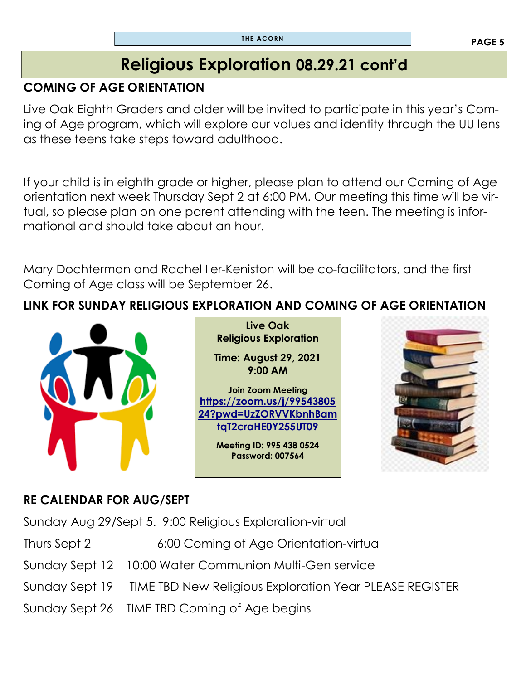## **Religious Exploration 08.29.21 cont'd**

#### **COMING OF AGE ORIENTATION**

Live Oak Eighth Graders and older will be invited to participate in this year's Coming of Age program, which will explore our values and identity through the UU lens as these teens take steps toward adulthood.

If your child is in eighth grade or higher, please plan to attend our Coming of Age orientation next week Thursday Sept 2 at 6:00 PM. Our meeting this time will be virtual, so please plan on one parent attending with the teen. The meeting is informational and should take about an hour.

Mary Dochterman and Rachel Iler-Keniston will be co-facilitators, and the first Coming of Age class will be September 26.

### **LINK FOR SUNDAY RELIGIOUS EXPLORATION AND COMING OF AGE ORIENTATION**



**Live Oak Religious Exploration** 

**Time: August 29, 2021 9:00 AM** 

**Join Zoom Meeting [https://zoom.us/j/99543805](https://zoom.us/j/9954380524?pwd=UzZORVVKbnhBamtqT2craHE0Y255UT09) [24?pwd=UzZORVVKbnhBam](https://zoom.us/j/9954380524?pwd=UzZORVVKbnhBamtqT2craHE0Y255UT09) [tqT2craHE0Y255UT09](https://zoom.us/j/9954380524?pwd=UzZORVVKbnhBamtqT2craHE0Y255UT09)**

> **Meeting ID: 995 438 0524 Password: 007564**



#### **RE CALENDAR FOR AUG/SEPT**

Sunday Aug 29/Sept 5. 9:00 Religious Exploration-virtual

Thurs Sept 2 6:00 Coming of Age Orientation-virtual

- Sunday Sept 12 10:00 Water Communion Multi-Gen service
- Sunday Sept 19 TIME TBD New Religious Exploration Year PLEASE REGISTER
- Sunday Sept 26 TIME TBD Coming of Age begins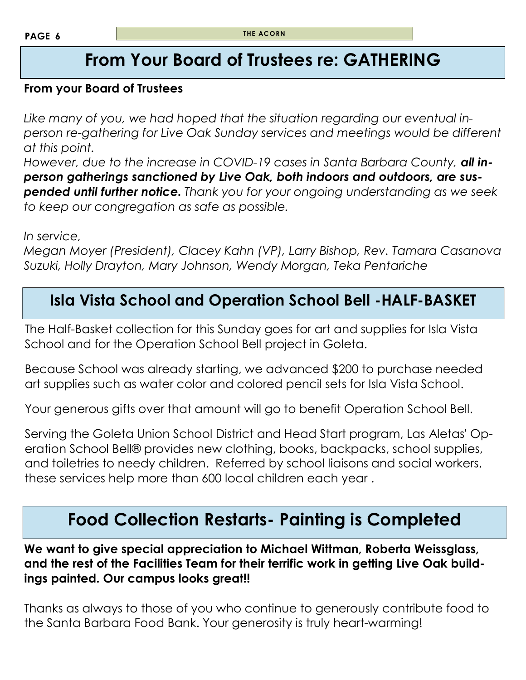## **From Your Board of Trustees re: GATHERING**

#### **From your Board of Trustees**

*Like many of you, we had hoped that the situation regarding our eventual inperson re-gathering for Live Oak Sunday services and meetings would be different at this point.*

*However, due to the increase in COVID-19 cases in Santa Barbara County, all inperson gatherings sanctioned by Live Oak, both indoors and outdoors, are suspended until further notice. Thank you for your ongoing understanding as we seek to keep our congregation as safe as possible.*

*In service,*

*Megan Moyer (President), Clacey Kahn (VP), Larry Bishop, Rev. Tamara Casanova Suzuki, Holly Drayton, Mary Johnson, Wendy Morgan, Teka Pentariche*

### **Isla Vista School and Operation School Bell -HALF-BASKET**

The Half-Basket collection for this Sunday goes for art and supplies for Isla Vista School and for the Operation School Bell project in Goleta.

Because School was already starting, we advanced \$200 to purchase needed art supplies such as water color and colored pencil sets for Isla Vista School.

Your generous gifts over that amount will go to benefit Operation School Bell.

Serving the Goleta Union School District and Head Start program, Las Aletas' Operation School Bell® provides new clothing, books, backpacks, school supplies, and toiletries to needy children. Referred by school liaisons and social workers, these services help more than 600 local children each year .

## **Food Collection Restarts- Painting is Completed**

**We want to give special appreciation to Michael Wittman, Roberta Weissglass, and the rest of the Facilities Team for their terrific work in getting Live Oak buildings painted. Our campus looks great!!**

Thanks as always to those of you who continue to generously contribute food to the Santa Barbara Food Bank. Your generosity is truly heart-warming!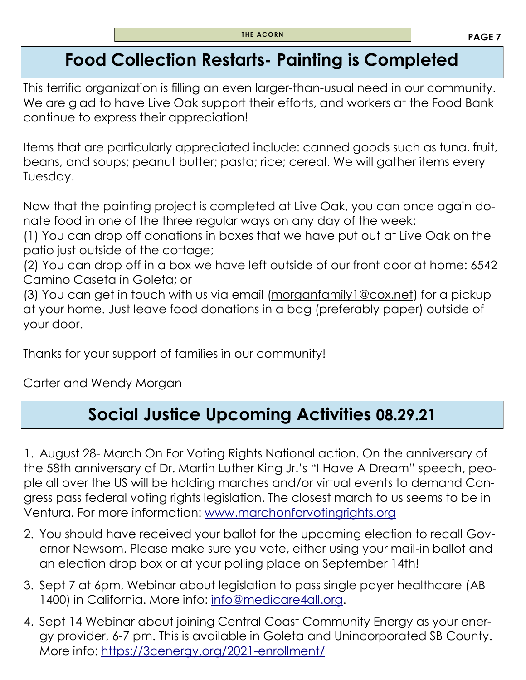## **Food Collection Restarts- Painting is Completed**

This terrific organization is filling an even larger-than-usual need in our community. We are glad to have Live Oak support their efforts, and workers at the Food Bank continue to express their appreciation!

Items that are particularly appreciated include: canned goods such as tuna, fruit, beans, and soups; peanut butter; pasta; rice; cereal. We will gather items every Tuesday.

Now that the painting project is completed at Live Oak, you can once again donate food in one of the three regular ways on any day of the week:

(1) You can drop off donations in boxes that we have put out at Live Oak on the patio just outside of the cottage;

(2) You can drop off in a box we have left outside of our front door at home: 6542 Camino Caseta in Goleta; or

(3) You can get in touch with us via email [\(morganfamily1@cox.net\)](mailto:morganfamily1@cox.net) for a pickup at your home. Just leave food donations in a bag (preferably paper) outside of your door.

Thanks for your support of families in our community!

Carter and Wendy Morgan

# **Social Justice Upcoming Activities 08.29.21**

1. August 28- March On For Voting Rights National action. On the anniversary of the 58th anniversary of Dr. Martin Luther King Jr.'s "I Have A Dream" speech, people all over the US will be holding marches and/or virtual events to demand Congress pass federal voting rights legislation. The closest march to us seems to be in Ventura. For more information: [www.marchonforvotingrights.org](http://www.marchonforvotingrights.org)

- 2. You should have received your ballot for the upcoming election to recall Governor Newsom. Please make sure you vote, either using your mail-in ballot and an election drop box or at your polling place on September 14th!
- 3. Sept 7 at 6pm, Webinar about legislation to pass single payer healthcare (AB 1400) in California. More info: [info@medicare4all.org.](mailto:info@medicare4all.org)
- 4. Sept 14 Webinar about joining Central Coast Community Energy as your energy provider, 6-7 pm. This is available in Goleta and Unincorporated SB County. More info: <https://3cenergy.org/2021-enrollment/>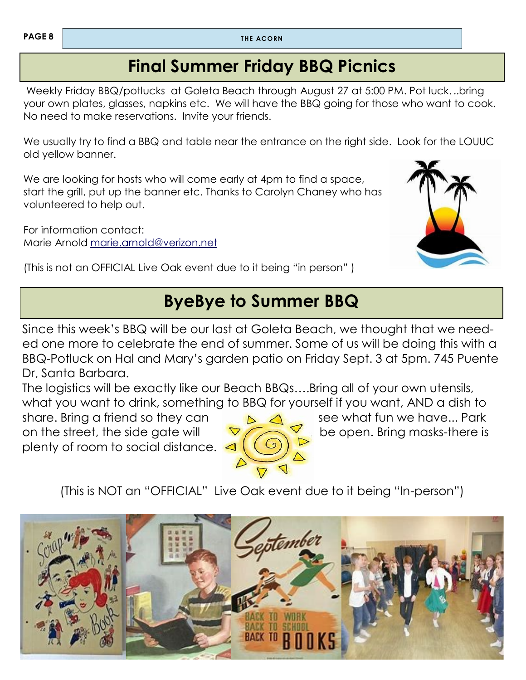## **Final Summer Friday BBQ Picnics**

Weekly Friday BBQ/potlucks at Goleta Beach through August 27 at 5:00 PM. Pot luck. ..bring your own plates, glasses, napkins etc. We will have the BBQ going for those who want to cook. No need to make reservations. Invite your friends.

We usually try to find a BBQ and table near the entrance on the right side. Look for the LOUUC old yellow banner.

We are looking for hosts who will come early at 4pm to find a space, start the grill, put up the banner etc. Thanks to Carolyn Chaney who has volunteered to help out.

For information contact: Marie Arnold [marie.arnold@verizon.net](mailto:marie.arnold@verizon.net)



(This is not an OFFICIAL Live Oak event due to it being "in person" )

## **ByeBye to Summer BBQ**

Since this week's BBQ will be our last at Goleta Beach, we thought that we needed one more to celebrate the end of summer. Some of us will be doing this with a BBQ-Potluck on Hal and Mary's garden patio on Friday Sept. 3 at 5pm. 745 Puente Dr, Santa Barbara.

The logistics will be exactly like our Beach BBQs….Bring all of your own utensils, what you want to drink, something to BBQ for yourself if you want, AND a dish to

share. Bring a friend so they can see what fun we have... Park on the street, the side gate will  $\sqrt{2}$  be open. Bring masks-there is plenty of room to social distance.



(This is NOT an "OFFICIAL" Live Oak event due to it being "In-person")